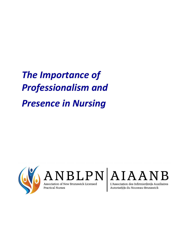*The Importance of Professionalism and Presence in Nursing*



 $\left| {\rm{AND}}_{\rm{Association of New Brunswick\; License}} \right| {\rm{AND}} \left| {\rm{ALAA}} {\rm{LAB}} {\rm{N}} \right|$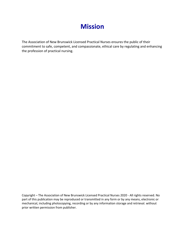# **Mission**

The Association of New Brunswick Licensed Practical Nurses ensures the public of their commitment to safe, competent, and compassionate, ethical care by regulating and enhancing the profession of practical nursing.

Copyright – The Association of New Brunswick Licensed Practical Nurses 2020 - All rights reserved. No part of this publication may be reproduced or transmitted in any form or by any means, electronic or mechanical, including photocopying, recording or by any information storage and retrieval. without prior written permission from publisher.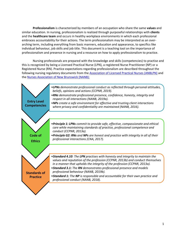**Professionalism** is characterized by members of an occupation who share the same **values** and similar education. In nursing, professionalism is realized through purposeful relationships with **clients**  and the **healthcare team** and occurs in healthy workplace environments in which each professional embraces accountability for their actions. The term professionalism may be interpreted as an overarching term, including everything from basic manners, education and appearance, to specifics like individual behaviour, job skills and job title. This document is a teaching tool on the importance of professionalism and presence in nursing and a resource on how to apply professionalism to practice.

Nursing professionals are prepared with the knowledge and skills (competencies) to practise and this is recognized by being a Licensed Practical Nurse (LPN), a registered Nurse Practitioner (NP) or a Registered Nurse (RN). Practice expectations regarding professionalism are described throughout the following nursing regulatory documents from th[e Association of Licensed Practical Nurses \(ANBLPN\)](https://www.anblpn.ca/) and th[e Nurses Association of New Brunswick \(NANB\):](http://www.nanb.nb.ca/practice/standards)

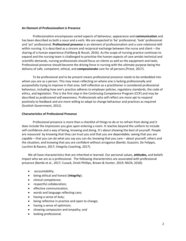## **An Element of Professionalism is Presence**

Professionalism encompasses varied aspects of behaviour, appearance and **communication** and has been described as both a noun and a verb. We are expected to 'be' professional, 'look' professional and 'act' professional. **Professional presence** is an element of professionalism and a core relational skill within nursing. It is described as a sincere and reciprocal exchange between the nurse and client – the sharing of a human experience (Fahlberg & Roush, 2016). As the scope of nursing practice continues to expand and the nursing team is challenged to prioritize the human-aspects of care amidst technical and scientific demands, nursing professionals should focus on clients as well as the equipment and tasks. Professional presence should become the driving force in nursing with the ultimate purpose being the delivery of safe, competent, ethical, and **compassionate** care for all persons (Priest, 2017).

To be professional and to be present means professional presence needs to be embedded into whom you are as a person. This may mean reflecting on where one is lacking professionally and purposefully trying to improve in that area. Self-reflection as a practitioner is considered professional behaviour, including how one's practice adheres to employer policies, regulatory standards, the code of ethics, and legislation. This is the first step in the Continuing Competence Program (CCP) and may be described as *professional self-awareness.* Professionals who self-reflect are more apt to respond positively to feedback and are more willing to adapt to change behaviour and practices as required (Scottish Government, 2012).

# **Characteristics of Professional Presence**

Professional presence is more than a checklist of things to do or to refrain from doing and it does include the impression you give upon entering a room. It reaches beyond the uniform to include self-confidence and a way of being, knowing and doing. It's about showing the best of yourself. People are reassured by knowing that they can trust you and that you are dependable; seeing that you are capable – that you can do what you say you can do; knowing that you care – about yourself, others and the situation; and knowing that you are confident without arrogance (Bambi, Guazzini, De Felippis, Lucchini & Rasero, 2017; Integrity Coaching, 2017).

We all have characteristics that are inherited or learned. Our personal values, **attitudes,** and beliefs impact who we are as a professional. The following characteristics are associated with professional presence (Bambi et al., 2017; Cusack, Drioli-Phillips, Brown & Hunter, 2019; NSCN, 2018):

- accountability;
- being ethical and honest (**integrity**);
- clinical competence;
- respectful collaboration;
- effective communication;
- words and language reflecting care;
- having a sense of duty;
- being reflective in practice and open to change;
- having a sense of optimism;
- showing compassion and empathy; and
- looking professional.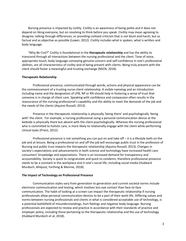Nursing presence is impacted by civility. Civility is an awareness of being polite and it does not depend on liking everyone, but on resolving to think before you speak. Civility may mean agreeing to disagree; talking through differences; or providing civilized criticism that is not blunt and harsh, but as factual and as objective as possible (Lower, 2012). Civility includes what is spoken, what is written and body language.

"Why Be Civil?" Civility is foundational in the **therapeutic relationship** and has the ability to transcend through all interactions between the nursing professional and the client. Tone of voice, appropriate touch, body language conveying genuine concern and self-confidence in one's professional abilities, are all characteristics of civility and of being present with clients. Being truly present with the client should foster a meaningful and trusting exchange (NSCN, 2018).

## **Therapeutic Relationship**

Professional presence, communicated through words, actions and physical appearance can be the commencement of a trusting nurse-client relationship. A visible nametag and an introduction including name and the designation of LPN, NP or RN should help in fostering a sense of trust that someone is in charge of client care. Speaking with confidence and compassion often results in the reassurance of the nursing professional's capability and the ability to meet the demands of the job and the needs of the clients (Aquino-Russell, 2013).

Presence in the therapeutic relationship is physically 'being there' and psychologically 'being with' the client.For example, a nursing professional using a personal communication device at the bedside is physically there but absent with the client psychologically. Whereas the nursing professional who is committed to holistic care, is more likely to relationally engage with the client while performing clinical tasks (Priest, 2012).

Professional presence is not something you can put on and take off – it is a lifestyle both on the job and at leisure. Being a professional on and off the job will encourage public trust in the profession of Nursing and public trust impacts the therapeutic relationship (Aquino-Russell, 2013). Changes in society's expectations and advancements in both science and technology have increased health care consumers' knowledge and expectations. There is an increased demand for transparency and accountability. Society is quick to congratulate and quick to condemn, therefore professional presence needs to be a constant in the workplace and in one's social life, including social media (Hubbard Murdoch, Ahlquist, Farthing & Mennie, 2018).

## **The Impact of Technology on Professional Presence**

Communication styles vary from generation to generation and current societal norms include electronic communication and texting, which involves less eye contact than face-to-face communication. The habit of looking at a screen can impact the therapeutic relationship if nursing professionals allow personal communication devices to be a part of their work-life. Differing values and norms between nursing professionals and clients in what is considered acceptable use of technology, is a potential battlefield of misunderstandings, hurt feelings and negative body language. Nursing professionals are expected to review and practice in accordance with their standards of practice and employer policy, including those pertaining to the therapeutic relationship and the use of technology (Hubbard Murdoch et al, 2018).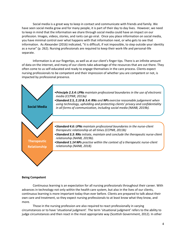Social media is a great way to keep in contact and communicate with friends and family. We have seen social media grow and for many people, it is part of their day to day lives. However, we need to keep in mind that the information we share through social media could have an impact on our profession. Images, videos, stories, and rants can go viral. Once you place information on social media, you have minimal control over what happens with that information next, or who gets to see that information. As Alexander (2016) indicated, "it is difficult, if not impossible, to step outside your identity as a nurse" (p. 262). Nursing professionals are required to keep their work-life and personal-life separate.

Information is at our fingertips, as well as at our client's finger tips. There is an infinite amount of data on the internet, and many of our clients take advantage of the resources that are out there. They often come to us self-educated and ready to engage themselves in the care process. Clients expect nursing professionals to be competent and their impression of whether you are competent or not, is impacted by professional presence.



## **Being Competent**

Continuous learning is an expectation for all nursing professionals throughout their career. With advances in technology not only within the health care system, but also in the lives of our clients, continuous learning is more important today than ever before. Clients are prepared to talk about their own care and treatment, so they expect nursing professionals to at least know what they know, and more.

Those in the nursing profession are also required to react professionally in varying circumstances or to have 'situational judgment'. The term 'situational judgment' refers to the ability to judge circumstances and then react in the most appropriate way (Scottish Government, 2012). In other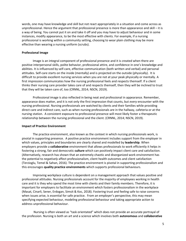words, one may have knowledge and skill but not react appropriately in a situation and come across as unprofessional. Hence the argument that professional presence is more than appearance and skill – it is a way of being. You cannot put it on and take it off and you may have to adjust behaviour and in some instances, modify appearance, to be the most effective with clients. For example, if a nursing professional is working within a community setting, choosing to wear plain clothing may be more effective than wearing a nursing uniform (scrubs).

#### **Professional Image**

Image is an integral component of professional presence and it is created when there are positive interpersonal skills, polite behavior, professional attire, and confidence in one's knowledge and abilities. It is influenced by self-care, effective communication (both written and verbal) and personal attitudes. Self-care starts on the inside (mentally) and is projected on the outside (physically). It is difficult to provide excellent nursing services when you are not at your peak physically or mentally. A first impression communicates how the nursing professional feels and respects themself. If a client thinks their nursing care provider takes care of and respects themself, then they will be inclined to trust that they will be taken care of, too (CRNNL, 2014; NSCN, 2019).

Professional image is also reflected in being neat and professional in appearance. Remember, appearance does matter, and it is not only the first impression that counts, but *every* encounter with the nursing professional. Nursing professionals are watched by clients and their families while providing direct care and indirect care, such as when nursing professionals are in the hallway, cafeteria or at the nursing station. A consistent exposure to professional presence will most likely foster a therapeutic relationship between the nursing professional and the client. (CRNNL, 2014; NSCN, 2019).

#### **Impact of Practice Environment**

The practice environment, also known as the context in which nursing professionals work, is pivotal in supporting presence. A positive practice environment includes support from the employer in which values, principles and boundaries are clearly shared and modelled by **leadership**. When employers provide a **collaborative** environment that allows professionals to work efficiently it helps in fostering a strong, fair and democratic **culture** which can positively impact client care and satisfaction. (Alternatively, research has shown that an extremely chaotic and disorganized work environment has the potential to *negatively* affect professionalism, client health outcomes and client satisfaction (Terzioglu, Temel & Sahan, 2016). The practice environment is pivotal in supporting professionalism and this encourages **quality practice environments** which supports professional behaviours.

Improving workplace culture is dependent on a management approach that values positive and professional attitudes. Nursing professionals account for the majority of employees working in health care and it is they who spend the most time with clients and their family members. Therefore, it is important for employers to facilitate an environment which fosters professionalism in the workplace (Masat, Cinarli, Sener, Erdogan, Simsit & Koc, 2018). Fostering trust and feeling safe to raise concerns when issues arise, is essential for safe practice. From an employer's perspective, this may mean specifying expected behaviour, modeling professional behaviour and taking appropriate action to address unprofessional behaviour.

Nursing is often viewed as "task orientated" which does not provide an accurate portrayal of the profession. Nursing is both an art and a science which involves both **autonomous** and **collaborative**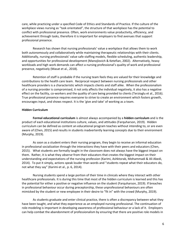care, while practicing under a specified Code of Ethics and Standards of Practice. If the culture of the workplace views nursing as "task orientated", the structure of that workplace has the potential to conflict with professional presence. Often, work environments value productivity, efficiency, and achievement through tasks, therefore it is important for employers to find avenues that support professional presence.

Research has shown that nursing professionals' value a workplace that allows them to work both autonomously and collaboratively while maintaining therapeutic relationships with their clients. Additionally, nursing professionals' value safe staffing models, flexible scheduling, authentic leadership, and opportunities for professional development (Manojlovich & Ketefian, 2002). Alternatively, heavy workloads and high work demands can affect a nursing professional's quality of work and professional presence, negatively (Masat et al., 2018).

Retention of staff is probable if the nursing team feels they are valued for their knowledge and contributions to the health care team. Reciprocal respect between nursing professionals and other healthcare providers is a characteristic which impacts clients and staff alike. When the professionalism of a nursing provider is compromised, it not only affects the individual negatively, it also has a negative effect on the facility, co-workers and the quality of care being provided to clients (Terzioglu et al., 2016). True professional presence requires everyone to strive to create an environment which fosters growth, encourages input, and shows respect. It is the 'give and take' of working as a team.

#### **Hidden Curriculum**

**Formal educational curriculum** is almost always accompanied by a **hidden curriculum** and is the product of each educational institutions culture, values, and attitudes (Farquharson, 2019). Hidden curriculum can be defined as content an educational program teaches without intending to, or are even aware of (Chen, 2015) and results in students inadvertently learning concepts due to their environment (Murphy, 2019).

As soon as a student enters their nursing program, they begin to receive an informal education in professional socialization through the interactions they have with their peers and educators (Chen, 2015). What students are formally taught in the classroom does not always have the biggest impact on them. Rather, it is what they *observe* from their educators that creates the biggest impact on their understanding and expectations of the nursing profession (Karimi, Ashktorab, Mohammadi & Ali Abedi, 2014). To put it simply, actions speak louder than words and "students repeat what their educators do, not what they say" (Karimi et al., p. 6, 2014).

Nursing students spend a large portion of their time in clinicals where they interact with other healthcare professionals. It is during this time that most of the hidden curriculum is learned and this has the potential for either a positive or negative influence on the student (Farquharson, 2019). If breaches in professional behaviour occur during preceptorship, these unprofessional behaviours are often mimicked by the student or new employee in their desire to "fit in" with the crowd (Murphy, 2019).

As students graduate and enter clinical practice, there is often a discrepancy between what they have been taught, and what they experience as an employed nursing professional. The continuation of role-modeling is important in developing awareness of professional behaviour or a lack of it. Employers can help combat the abandonment of professionalism by ensuring that there are positive role models in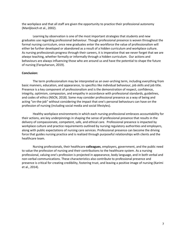the workplace and that all staff are given the opportunity to practice their professional autonomy (Manljlovich et al., 2002).

Learning by observation is one of the most important strategies that students and new graduates use regarding professional behaviour. Though professional presence is woven throughout the formal nursing curriculum, once new graduates enter the workforce the value of professionalism will either be further developed or abandoned as a result of a hidden curriculum and workplace culture. As nursing professionals progress through their careers, it is imperative that we never forget that we are *always* teaching, whether formally or informally through a hidden curriculum. Our actions and behaviours are always influencing those who are around us and have the potential to shape the future of nursing (Farquharson, 2019).

#### **Conclusion:**

The term professionalism may be interpreted as an over-arching term, including everything from basic manners, education, and appearance, to specifics like individual behaviour, job skills and job title. Presence is a key component of professionalism and is the demonstration of respect, confidence, integrity, optimism, compassion, and empathy in accordance with professional standards, guidelines, and codes of ethics (NSCN, 2018). Some may consider professional presence as a way of being and acting "on-the-job" without considering the impact that one's personal behaviours can have on the profession of nursing (including social media and social lifestyles).

Healthy workplace environments in which each nursing professional embraces accountability for their actions, are key underpinnings in shaping the sense of professional presence that results in the delivery of compassionate, competent, safe, and ethical care. Professional presence is impacted by workplace culture and practice requirements outlined by nursing regulatory authorities and employers, along with public expectations of nursing care services. Professional presence can become the driving force that guides nursing practice and is realized through purposeful relationships with clients and the healthcare team.

Nursing professionals, their healthcare **colleagues**, employers, government, and the public need to value the profession of nursing and their contributions to the healthcare system. As a nursing professional, valuing one's profession is projected in appearance, body language, and in both verbal and non-verbal communications. These characteristics also contribute to professional presence and presence is critical for creating credibility, fostering trust, and leaving a positive image of nursing (Karimi et al., 2014).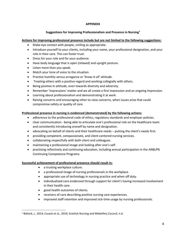# **APPENDIX**

# **Suggestions for Improving Professionalism and Presence in Nursing<sup>1</sup>**

# **Actions for improving professional presence include but are not limited to the following suggestions:**

- Make eye contact with people, smiling as appropriate.
- Introduce yourself to your clients, including your name, your professional designation, and your role in their care. This can foster trust.
- Dress for your role and for your audience.
- Have body language that is open (relaxed) and upright posture.
- Listen more than you speak.
- Match your tone of voice to the situation.
- Practice humility versus arrogance or 'know-it-all' attitude.
- Treating others with a positive regard and working collegially with others.
- Being positive in attitude, even towards diversity and adversity.
- Remember 'impressions' matter and we all create a first impression and an ongoing impression.
- Learning about professionalism and demonstrating it at work.
- Raising concerns and encouraging other to raise concerns, when issues arise that could compromise safety or quality of care.

## **Professional presence in nursing is evidenced (demonstrated) by the following actions:**

- adherence to the professional code of ethics, regulatory standards and employer policies.
- clear communication being able to articulate one's professional role on the healthcare team and consistently introducing oneself by name and designation.
- advocating on behalf of clients and their healthcare needs putting the client's needs first.
- providing competent, compassionate, and client-centered nursing services.
- collaborating respectfully with both client and colleagues.
- maintaining a professional image and looking after one's self.
- practising reflectively and continuing education, including annual participation in the ANBLPN Continuing Competence Programs.

## **Successful achievement of professional presence should result in:**

- a trusting workplace culture.
- a professional image of nursing professionals in the workplace.
- appropriate use of technology in nursing practice and when off duty.
- individualized care evidenced through support for client's having increased involvement in their health care.
- good health outcomes of clients.
- receivers of care describing positive nursing care experiences.
- improved staff retention and improved sick-time usage by nursing professionals.

<sup>&</sup>lt;sup>1</sup> Ballard, J., 2014; Cusack et al., 2019; Scottish Nursing and Midwifery Council, n.d.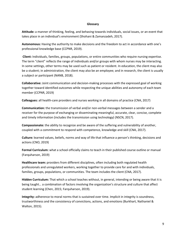## **Glossary**

**Attitude:** a manner of thinking, feeling, and behaving towards individuals, social issues, or an event that takes place in an individual's environment (Shohani & Zamanzadeh, 2017).

**Autonomous:** Having the authority to make decisions and the freedom to act in accordance with one's professional knowledge base (CCPNR, 2019).

**Client:** Individuals, families, groups, populations, or entire communities who require nursing expertise. The term "client" reflects the range of individuals and/or groups with whom nurses may be interacting. In some settings, other terms may be used such as patient or resident. In education, the client may also be a student; in administration, the client may also be an employee; and in research, the client is usually a subject or participant (NANB, 2018).

**Collaborative:** Joint communication and decision-making processes with the expressed goal of working together toward identified outcomes while respecting the unique abilities and autonomy of each team member (CCPNR, 2019)

**Colleagues:** all health-care providers and nurses working in all domains of practice (CNA, 2017)

**Communication:** the transmission of verbal and/or non-verbal messages between a sender and a receiver for the purpose of exchanging or disseminating meaningful, accurate, clear, concise, complete and timely information (includes the transmission using technology) (NSCN, 2017).

**Compassionate:** the ability to recognize and be aware of the suffering and vulnerability of another, coupled with a commitment to respond with competence, knowledge and skill (CNA, 2017).

**Culture:** learned values, beliefs, norms and way of life that influence a person's thinking, decisions and actions (CNO, 2019)

**Formal Curriculum:** what a school officially claims to teach in their published course outline or manual (Farquharson, 2019)

**Healthcare team:** providers from different disciplines, often including both regulated health professionals and unregulated workers, working together to provide care for and with individuals, families, groups, populations, or communities. The team includes the client (CNA, 2017).

**Hidden Curriculum:** That which a school teaches without, in general, intending or being aware that it is being taught… a combination of factors involving the organization's structure and culture that affect student learning (Chen, 2015; Farquharson, 2019).

**Integrity:** adherence to moral norms that is sustained over time. Implicit in integrity is soundness, trustworthiness and the consistency of convictions, actions, and emotions (Burkhart, Nathaniel & Walton, 2015).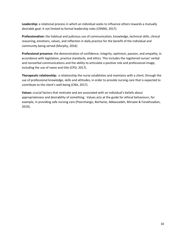**Leadership:** a relational process in which an individual seeks to influence others towards a mutually desirable goal. It not limited to formal leadership roles (CRNNS, 2017).

**Professionalism:** the habitual and judicious use of communication, knowledge, technical skills, clinical reasoning, emotions, values, and reflection in daily practice for the benefit of the individual and community being served (Murphy, 2016)

**Professional presence:** the demonstration of confidence, integrity, optimism, passion, and empathy, in accordance with legislation, practice standards, and ethics. This includes the registered nurses' verbal and nonverbal communications and the ability to articulate a positive role and professional image, including the use of name and title (CPSI, 2017).

**Therapeutic relationship:** a relationship the nurse establishes and maintains with a client, through the use of professional knowledge, skills and attitudes, in order to provide nursing care that is expected to contribute to the client's well-being (CNA, 2017).

**Values:** crucial factors that motivate and are associated with an individual's beliefs about appropriateness and desirability of something. Values acts at the guide for ethical behaviours, for example, in providing safe nursing care (Poorchangiz, Borhanie, Abbaszadeh, Mirzaee & Farokhzadian, 2019).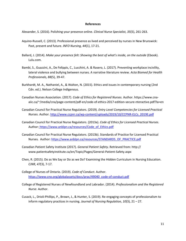#### **References**

Alexander, S. (2016). Polishing your presence online. *Clinical Nurse Specialist, 35*(5), 261-263.

- Aquino-Russell, C. (2013). Professional presence as lived and perceived by nurses in New Brunswick: Past, present and future. *INFO Nursing, 44*(1), 17-21.
- Ballard, J. (2014). *Make your presence felt: Showing the best of what's inside, on the outside* (Ebook). Lulu.com.
- Bambi, S., Guazzini, A., De Felippis, C., Lucchini, A. & Rasero, L. (2017). Preventing workplace incivility, lateral violence and bullying between nurses. A narrative literature review. *Acta Biomed for Health Professionals, 88*(5), 39-47.
- Burkhardt, M. A., Nathaniel, A., & Walton, N. (2015). Ethics and issues in contemporary nursing (2nd Cdn. ed.). Nelson College Indigenous.
- Canadian Nurses Association. (2017). *Code of Ethics for Registered Nurses.* Author. [https://www.cna](https://www.cna-aiic.ca/~/media/cna/page-content/pdf-en/code-of-ethics-2017-edition-secure-nteractive.pdf?la=en)[aiic.ca/~/media/cna/page-content/pdf-en/code-of-ethics-2017-edition-secure-nteractive.pdf?la=en](https://www.cna-aiic.ca/~/media/cna/page-content/pdf-en/code-of-ethics-2017-edition-secure-nteractive.pdf?la=en)
- Canadian Council for Practical Nurse Regulators. (2019). *Entry Level Competencies for Licensed Practical Nurses.* Author[. http://www.ccpnr.ca/wp-content/uploads/2019/10/CCPNR-ELCs\\_2019E.pdf](http://www.ccpnr.ca/wp-content/uploads/2019/10/CCPNR-ELCs_2019E.pdf)
- Canadian Council for Practical Nurse Regulators. (2013a). *Code of Ethics for Licensed Practical Nurses*. Author: [https://www.anblpn.ca/resources/Code\\_of\\_Ethics.pdf](https://www.anblpn.ca/resources/Code_of_Ethics.pdf)
- Canadian Council for Practical Nurse Regulators. (2013b). Standards of Practice for Licensed Practical Nurses. Author: https://www.anblpn.ca/resources/STANDARDS\_OF\_PRACTICE.pdf
- Canadian Patient Safety Institute (2017). *General Patient Safety*. Retrieved from: http:// www.patientsafetyinstitute.ca/en/Topic/Pages/General-Patient-Safety.aspx
- Chen, R. (2015). Do as We Say or Do as we Do? Examining the Hidden Curriculum in Nursing Education. *CJNR, 47*(3), 7-17.
- College of Nurses of Ontario. (2019). *Code of Conduct.* Author. [https://www.cno.org/globalassets/docs/prac/49040\\_code-of-conduct.pdf](https://www.cno.org/globalassets/docs/prac/49040_code-of-conduct.pdf)
- College of Registered Nurses of Newfoundland and Labrador. (2014). *Professionalism and the Registered Nurse.* Author.
- Cusack, L., Drioli-Phillips, P., Brown, J., & Hunter, S. (2019). Re-engaging concepts of professionalism to inform regulatory practices in nursing. *Journal of Nursing Regulation, 10*(3), 21 – 27.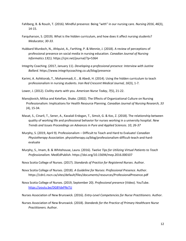- Fahlberg, B. & Roush, T. (2016). Mindful presence: Being "with" in our nursing care. *Nursing 2016*, *46*(3), 14-15.
- Farquharson, S. (2019). What is the hidden curriculum, and how does it affect nursing students? *Meducator, 30-33.*
- Hubbard Murdoch, N., Ahlquist, A., Farthing, P. & Mennie, J. (2018). A review of perceptions of professional presence on social media in nursing education. *Canadian Journal of Nursing Informatics 13*(1). https://cjni.net/journal/?p=5364
- Integrity Coaching. (2017, January 11). *Developing a professional presence: Interview with Justine Ballard.* <https://www.integritycoaching.co.uk/blog/presence>
- Karimi, A. Ashktorab, T., Mohammadi, E. , & Abedi, H. (2014). Using the hidden curriculum to teach professionalism in nursing students. *Iran Red Crescent Medical Journal, 16*(3), 1-7.
- Lower, J. (2012). Civility starts with you. *American Nurse Today*, *7*(5), 21-22.
- Manojlovich, Milisa and Ketefian, Shake. (2002). The Effects of Organizational Culture on Nursing Professionalism: Implications for Health Resource Planning. *Canadian Journal of Nursing Research, 33*  (4), 15-34.
- Masat, S., Cinarli, T., Sener, A., Kavalali Erdogan, T., Simsit, G. & Koc, Z. (2018). The relationship between quality of working life and professional behavior for nurses working in a university hospital. *New Trends and Issues Proceedings on Advances in Pure and Applied Sciences. 10, 26-37*
- Murphy, S. (2019, April 9). Professionalism Difficult to Teach and Hard to Evaluate! *Canadian Physiotherapy Association.* physiotherapy.ca/blog/professionalism-difficult-teach-and-hardevaluate
- Murphy, S., Imam, B. & Whitehouse, Laura. (2016). *Twelve Tips for Utilizing Virtual Patients to Teach Professionalism.* MedEdPublish. https://doi.org/10.15694/mep.2016.000107
- Nova Scotia College of Nurses. (2017). *Standards of Practice for Registered Nurses*. Author.
- Nova Scotia College of Nurses. (2018). *A Guideline for Nurses: Professional Presence*. Author. <https://cdn1.nscn.ca/sites/default/files/documents/resources/ProfessionalPresence.pdf>
- Nova Scotia College of Nurses. (2019, September 20). *Professional presence* (Video). YouTube. <https://youtu.be/DG8YdxPNsTU>
- Nurses Association of New Brunswick. (2016). *Entry-Level Competencies for Nurse Practitioners.* Author.
- Nurses Association of New Brunswick. (2018). *Standards for the Practice of Primary Healthcare Nurse Practitioners.* Author.